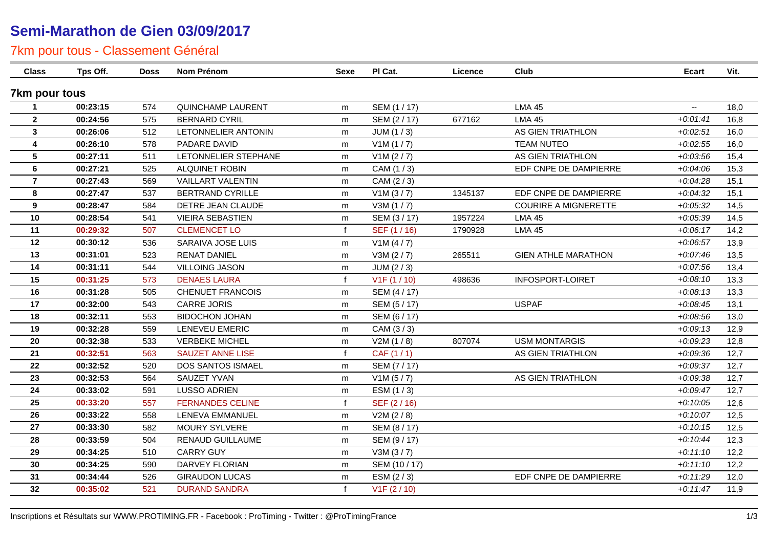# **Semi-Marathon de Gien 03/09/2017**

# 7km pour tous - Classement Général

| <b>Class</b>         | Tps Off. | <b>Doss</b> | <b>Nom Prénom</b>        | Sexe         | PI Cat.                   | Licence | Club                        | <b>Ecart</b> | Vit. |
|----------------------|----------|-------------|--------------------------|--------------|---------------------------|---------|-----------------------------|--------------|------|
| 7km pour tous        |          |             |                          |              |                           |         |                             |              |      |
| $\blacktriangleleft$ | 00:23:15 | 574         | <b>QUINCHAMP LAURENT</b> | m            | SEM (1 / 17)              |         | <b>LMA 45</b>               | $\mathbf{u}$ | 18,0 |
| $\mathbf{2}$         | 00:24:56 | 575         | <b>BERNARD CYRIL</b>     | m            | SEM (2/17)                | 677162  | <b>LMA 45</b>               | $+0.01:41$   | 16,8 |
| 3                    | 00:26:06 | 512         | LETONNELIER ANTONIN      | m            | JUM(1/3)                  |         | AS GIEN TRIATHLON           | $+0.02:51$   | 16,0 |
| 4                    | 00:26:10 | 578         | PADARE DAVID             | m            | V1M(1/7)                  |         | <b>TEAM NUTEO</b>           | $+0.02:55$   | 16,0 |
| $5\phantom{.0}$      | 00:27:11 | 511         | LETONNELIER STEPHANE     | m            | V1M (2 / 7)               |         | AS GIEN TRIATHLON           | $+0.03.56$   | 15,4 |
| $\bf 6$              | 00:27:21 | 525         | ALQUINET ROBIN           | m            | CAM (1/3)                 |         | EDF CNPE DE DAMPIERRE       | $+0.04:06$   | 15,3 |
| $\overline{7}$       | 00:27:43 | 569         | <b>VAILLART VALENTIN</b> | m            | CAM (2/3)                 |         |                             | $+0.04:28$   | 15,1 |
| 8                    | 00:27:47 | 537         | <b>BERTRAND CYRILLE</b>  | m            | V1M(3/7)                  | 1345137 | EDF CNPE DE DAMPIERRE       | $+0.04.32$   | 15,1 |
| 9                    | 00:28:47 | 584         | DETRE JEAN CLAUDE        | m            | V3M(1/7)                  |         | <b>COURIRE A MIGNERETTE</b> | $+0.05:32$   | 14,5 |
| 10                   | 00:28:54 | 541         | <b>VIEIRA SEBASTIEN</b>  | m            | SEM (3/17)                | 1957224 | <b>LMA 45</b>               | $+0.05.39$   | 14,5 |
| 11                   | 00:29:32 | 507         | <b>CLEMENCET LO</b>      | $\mathsf{f}$ | SEF (1 / 16)              | 1790928 | <b>LMA 45</b>               | $+0.06:17$   | 14,2 |
| 12                   | 00:30:12 | 536         | SARAIVA JOSE LUIS        | m            | V1M(4/7)                  |         |                             | $+0.06:57$   | 13,9 |
| 13                   | 00:31:01 | 523         | <b>RENAT DANIEL</b>      | m            | V3M (2 / 7)               | 265511  | <b>GIEN ATHLE MARATHON</b>  | $+0.07:46$   | 13,5 |
| 14                   | 00:31:11 | 544         | <b>VILLOING JASON</b>    | m            | JUM $(2/3)$               |         |                             | $+0.07:56$   | 13,4 |
| 15                   | 00:31:25 | 573         | <b>DENAES LAURA</b>      | $\mathbf{f}$ | V <sub>1</sub> F (1 / 10) | 498636  | INFOSPORT-LOIRET            | $+0.08:10$   | 13,3 |
| 16                   | 00:31:28 | 505         | <b>CHENUET FRANCOIS</b>  | m            | SEM (4/17)                |         |                             | $+0.08:13$   | 13,3 |
| 17                   | 00:32:00 | 543         | <b>CARRE JORIS</b>       | m            | SEM (5/17)                |         | <b>USPAF</b>                | $+0.08:45$   | 13,1 |
| 18                   | 00:32:11 | 553         | <b>BIDOCHON JOHAN</b>    | m            | SEM (6 / 17)              |         |                             | $+0.08:56$   | 13,0 |
| 19                   | 00:32:28 | 559         | LENEVEU EMERIC           | m            | CAM (3/3)                 |         |                             | $+0.09:13$   | 12,9 |
| 20                   | 00:32:38 | 533         | <b>VERBEKE MICHEL</b>    | m            | V2M(1/8)                  | 807074  | <b>USM MONTARGIS</b>        | $+0.09:23$   | 12,8 |
| 21                   | 00:32:51 | 563         | <b>SAUZET ANNE LISE</b>  | $\mathsf{f}$ | CAF (1/1)                 |         | AS GIEN TRIATHLON           | $+0.09.36$   | 12,7 |
| 22                   | 00:32:52 | 520         | DOS SANTOS ISMAEL        | m            | SEM (7/17)                |         |                             | $+0.0937$    | 12,7 |
| 23                   | 00:32:53 | 564         | SAUZET YVAN              | m            | V1M(5/7)                  |         | AS GIEN TRIATHLON           | $+0.09338$   | 12,7 |
| 24                   | 00:33:02 | 591         | <b>LUSSO ADRIEN</b>      | m            | ESM (1/3)                 |         |                             | $+0.09:47$   | 12,7 |
| 25                   | 00:33:20 | 557         | <b>FERNANDES CELINE</b>  | $\mathbf{f}$ | SEF (2/16)                |         |                             | $+0:10:05$   | 12,6 |
| 26                   | 00:33:22 | 558         | LENEVA EMMANUEL          | m            | V2M (2/8)                 |         |                             | $+0:10:07$   | 12,5 |
| 27                   | 00:33:30 | 582         | <b>MOURY SYLVERE</b>     | m            | SEM (8 / 17)              |         |                             | $+0:10:15$   | 12,5 |
| 28                   | 00:33:59 | 504         | <b>RENAUD GUILLAUME</b>  | m            | SEM (9/17)                |         |                             | $+0:10:44$   | 12,3 |
| 29                   | 00:34:25 | 510         | <b>CARRY GUY</b>         | m            | V3M(3/7)                  |         |                             | $+0:11:10$   | 12,2 |
| 30                   | 00:34:25 | 590         | DARVEY FLORIAN           | m            | SEM (10 / 17)             |         |                             | $+0:11:10$   | 12,2 |
| 31                   | 00:34:44 | 526         | <b>GIRAUDON LUCAS</b>    | m            | ESM (2/3)                 |         | EDF CNPE DE DAMPIERRE       | $+0:11:29$   | 12,0 |
| 32                   | 00:35:02 | 521         | <b>DURAND SANDRA</b>     | $\mathbf{f}$ | V1F(2/10)                 |         |                             | $+0:11:47$   | 11,9 |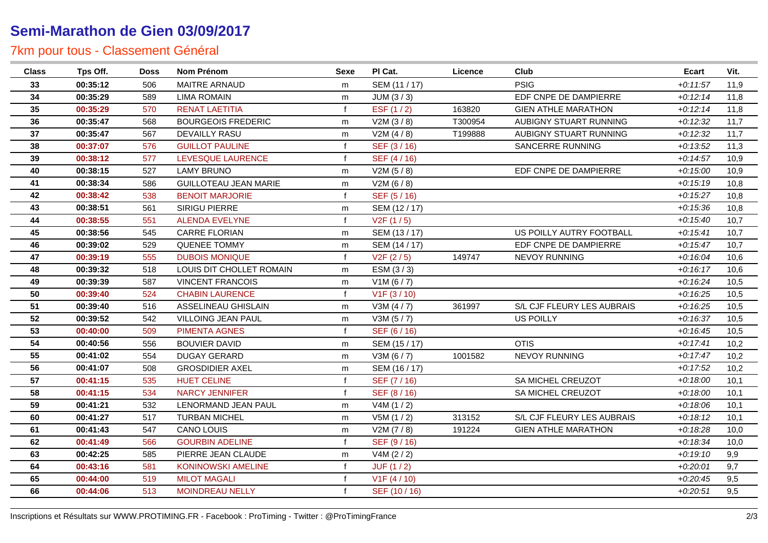# **Semi-Marathon de Gien 03/09/2017**

# 7km pour tous - Classement Général

| Class | Tps Off. | <b>Doss</b> | Nom Prénom                   | Sexe         | PI Cat.       | Licence | Club                       | <b>Ecart</b> | Vit. |
|-------|----------|-------------|------------------------------|--------------|---------------|---------|----------------------------|--------------|------|
| 33    | 00:35:12 | 506         | <b>MAITRE ARNAUD</b>         | m            | SEM (11 / 17) |         | <b>PSIG</b>                | $+0:11:57$   | 11,9 |
| 34    | 00:35:29 | 589         | <b>LIMA ROMAIN</b>           | m            | JUM(3/3)      |         | EDF CNPE DE DAMPIERRE      | $+0:12:14$   | 11,8 |
| 35    | 00:35:29 | 570         | <b>RENAT LAETITIA</b>        | $\mathbf f$  | ESF (1/2)     | 163820  | <b>GIEN ATHLE MARATHON</b> | $+0:12:14$   | 11,8 |
| 36    | 00:35:47 | 568         | <b>BOURGEOIS FREDERIC</b>    | m            | V2M(3/8)      | T300954 | AUBIGNY STUART RUNNING     | $+0:12:32$   | 11,7 |
| 37    | 00:35:47 | 567         | <b>DEVAILLY RASU</b>         | m            | V2M(4/8)      | T199888 | AUBIGNY STUART RUNNING     | $+0:12:32$   | 11,7 |
| 38    | 00:37:07 | 576         | <b>GUILLOT PAULINE</b>       |              | SEF (3/16)    |         | SANCERRE RUNNING           | $+0:13:52$   | 11,3 |
| 39    | 00:38:12 | 577         | LEVESQUE LAURENCE            |              | SEF (4/16)    |         |                            | $+0.14.57$   | 10,9 |
| 40    | 00:38:15 | 527         | <b>LAMY BRUNO</b>            | m            | V2M(5/8)      |         | EDF CNPE DE DAMPIERRE      | $+0:15:00$   | 10,9 |
| 41    | 00:38:34 | 586         | <b>GUILLOTEAU JEAN MARIE</b> | m            | V2M(6/8)      |         |                            | $+0:15:19$   | 10,8 |
| 42    | 00:38:42 | 538         | <b>BENOIT MARJORIE</b>       | $\mathbf f$  | SEF (5/16)    |         |                            | $+0:15:27$   | 10,8 |
| 43    | 00:38:51 | 561         | <b>SIRIGU PIERRE</b>         | m            | SEM (12/17)   |         |                            | $+0.15.36$   | 10,8 |
| 44    | 00:38:55 | 551         | <b>ALENDA EVELYNE</b>        | $\mathbf f$  | V2F(1/5)      |         |                            | $+0:15:40$   | 10,7 |
| 45    | 00:38:56 | 545         | <b>CARRE FLORIAN</b>         | m            | SEM (13 / 17) |         | US POILLY AUTRY FOOTBALL   | $+0:15:41$   | 10,7 |
| 46    | 00:39:02 | 529         | <b>QUENEE TOMMY</b>          | m            | SEM (14 / 17) |         | EDF CNPE DE DAMPIERRE      | $+0:15:47$   | 10,7 |
| 47    | 00:39:19 | 555         | <b>DUBOIS MONIQUE</b>        | $\mathbf f$  | V2F(2/5)      | 149747  | <b>NEVOY RUNNING</b>       | $+0.16:04$   | 10,6 |
| 48    | 00:39:32 | 518         | LOUIS DIT CHOLLET ROMAIN     | m            | ESM $(3/3)$   |         |                            | $+0.16:17$   | 10,6 |
| 49    | 00:39:39 | 587         | <b>VINCENT FRANCOIS</b>      | m            | V1M (6 / 7)   |         |                            | $+0:16:24$   | 10,5 |
| 50    | 00:39:40 | 524         | <b>CHABIN LAURENCE</b>       | $\mathbf f$  | V1F(3/10)     |         |                            | $+0:16:25$   | 10,5 |
| 51    | 00:39:40 | 516         | ASSELINEAU GHISLAIN          | m            | V3M(4/7)      | 361997  | S/L CJF FLEURY LES AUBRAIS | $+0.16:25$   | 10,5 |
| 52    | 00:39:52 | 542         | VILLOING JEAN PAUL           | m            | V3M(5/7)      |         | US POILLY                  | $+0:16:37$   | 10,5 |
| 53    | 00:40:00 | 509         | <b>PIMENTA AGNES</b>         | $\mathbf f$  | SEF (6 / 16)  |         |                            | $+0:16:45$   | 10,5 |
| 54    | 00:40:56 | 556         | <b>BOUVIER DAVID</b>         | m            | SEM (15 / 17) |         | <b>OTIS</b>                | $+0:17:41$   | 10,2 |
| 55    | 00:41:02 | 554         | <b>DUGAY GERARD</b>          | m            | V3M(6/7)      | 1001582 | NEVOY RUNNING              | $+0:17:47$   | 10,2 |
| 56    | 00:41:07 | 508         | <b>GROSDIDIER AXEL</b>       | m            | SEM (16 / 17) |         |                            | $+0:17:52$   | 10,2 |
| 57    | 00:41:15 | 535         | <b>HUET CELINE</b>           |              | SEF (7/16)    |         | SA MICHEL CREUZOT          | $+0.18:00$   | 10,1 |
| 58    | 00:41:15 | 534         | <b>NARCY JENNIFER</b>        | $\mathbf f$  | SEF (8/16)    |         | SA MICHEL CREUZOT          | $+0.18:00$   | 10,1 |
| 59    | 00:41:21 | 532         | LENORMAND JEAN PAUL          | m            | V4M(1/2)      |         |                            | $+0.18:06$   | 10,1 |
| 60    | 00:41:27 | 517         | <b>TURBAN MICHEL</b>         | m            | V5M(1/2)      | 313152  | S/L CJF FLEURY LES AUBRAIS | $+0:18:12$   | 10,1 |
| 61    | 00:41:43 | 547         | <b>CANO LOUIS</b>            | m            | V2M (7/8)     | 191224  | <b>GIEN ATHLE MARATHON</b> | $+0.18.28$   | 10,0 |
| 62    | 00:41:49 | 566         | <b>GOURBIN ADELINE</b>       | $\mathbf{f}$ | SEF (9/16)    |         |                            | $+0.1834$    | 10,0 |
| 63    | 00:42:25 | 585         | PIERRE JEAN CLAUDE           | m            | V4M (2 / 2)   |         |                            | $+0:19:10$   | 9,9  |
| 64    | 00:43:16 | 581         | <b>KONINOWSKI AMELINE</b>    | $\mathbf f$  | JUF(1/2)      |         |                            | $+0.20:01$   | 9,7  |
| 65    | 00:44:00 | 519         | <b>MILOT MAGALI</b>          |              | V1F(4/10)     |         |                            | $+0.20:45$   | 9,5  |
| 66    | 00:44:06 | 513         | <b>MOINDREAU NELLY</b>       |              | SEF (10 / 16) |         |                            | $+0.20:51$   | 9,5  |